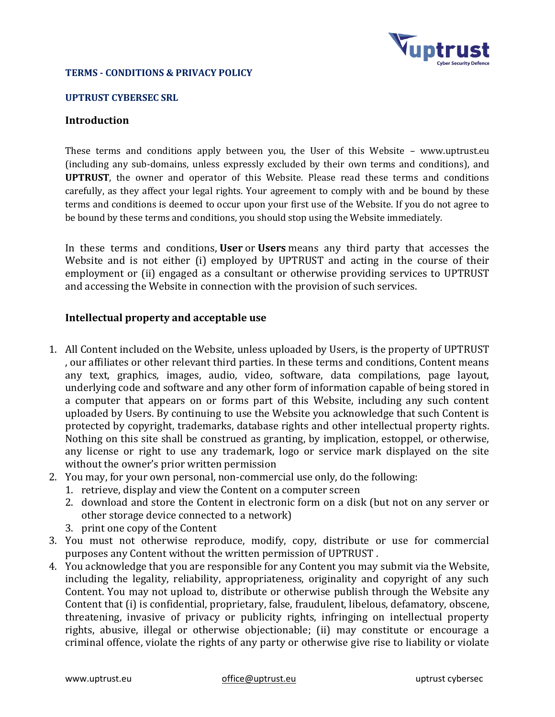

### **TERMS - CONDITIONS & PRIVACY POLICY**

#### **UPTRUST CYBERSEC SRL**

### **Introduction**

These terms and conditions apply between you, the User of this Website – www.uptrust.eu (including any sub-domains, unless expressly excluded by their own terms and conditions), and **UPTRUST**, the owner and operator of this Website. Please read these terms and conditions carefully, as they affect your legal rights. Your agreement to comply with and be bound by these terms and conditions is deemed to occur upon your first use of the Website. If you do not agree to be bound by these terms and conditions, you should stop using the Website immediately.

In these terms and conditions, **User** or **Users** means any third party that accesses the Website and is not either (i) employed by UPTRUST and acting in the course of their employment or (ii) engaged as a consultant or otherwise providing services to UPTRUST and accessing the Website in connection with the provision of such services.

### **Intellectual property and acceptable use**

- 1. All Content included on the Website, unless uploaded by Users, is the property of UPTRUST , our affiliates or other relevant third parties. In these terms and conditions, Content means any text, graphics, images, audio, video, software, data compilations, page layout, underlying code and software and any other form of information capable of being stored in a computer that appears on or forms part of this Website, including any such content uploaded by Users. By continuing to use the Website you acknowledge that such Content is protected by copyright, trademarks, database rights and other intellectual property rights. Nothing on this site shall be construed as granting, by implication, estoppel, or otherwise, any license or right to use any trademark, logo or service mark displayed on the site without the owner's prior written permission
- 2. You may, for your own personal, non-commercial use only, do the following:
	- 1. retrieve, display and view the Content on a computer screen
	- 2. download and store the Content in electronic form on a disk (but not on any server or other storage device connected to a network)
	- 3. print one copy of the Content
- 3. You must not otherwise reproduce, modify, copy, distribute or use for commercial purposes any Content without the written permission of UPTRUST .
- 4. You acknowledge that you are responsible for any Content you may submit via the Website, including the legality, reliability, appropriateness, originality and copyright of any such Content. You may not upload to, distribute or otherwise publish through the Website any Content that (i) is confidential, proprietary, false, fraudulent, libelous, defamatory, obscene, threatening, invasive of privacy or publicity rights, infringing on intellectual property rights, abusive, illegal or otherwise objectionable; (ii) may constitute or encourage a criminal offence, violate the rights of any party or otherwise give rise to liability or violate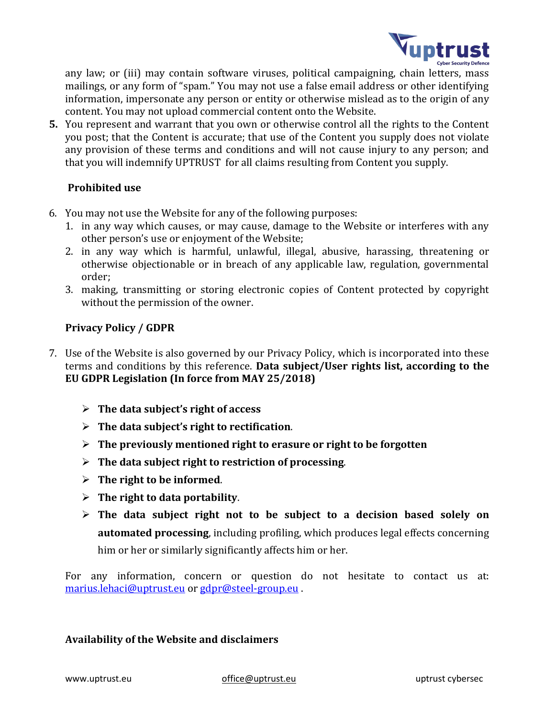

any law; or (iii) may contain software viruses, political campaigning, chain letters, mass mailings, or any form of "spam." You may not use a false email address or other identifying information, impersonate any person or entity or otherwise mislead as to the origin of any content. You may not upload commercial content onto the Website.

**5.** You represent and warrant that you own or otherwise control all the rights to the Content you post; that the Content is accurate; that use of the Content you supply does not violate any provision of these terms and conditions and will not cause injury to any person; and that you will indemnify UPTRUST for all claims resulting from Content you supply.

## **Prohibited use**

- 6. You may not use the Website for any of the following purposes:
	- 1. in any way which causes, or may cause, damage to the Website or interferes with any other person's use or enjoyment of the Website;
	- 2. in any way which is harmful, unlawful, illegal, abusive, harassing, threatening or otherwise objectionable or in breach of any applicable law, regulation, governmental order;
	- 3. making, transmitting or storing electronic copies of Content protected by copyright without the permission of the owner.

# **Privacy Policy / GDPR**

- 7. Use of the Website is also governed by our Privacy Policy, which is incorporated into these terms and conditions by this reference. **Data subject/User rights list, according to the EU GDPR Legislation (In force from MAY 25/2018)**
	- ➢ **The data subject's right of access**
	- ➢ **The data subject's right to rectification**.
	- ➢ **The previously mentioned right to erasure or right to be forgotten**
	- ➢ **The data subject right to restriction of processing**.
	- ➢ **The right to be informed**.
	- ➢ **The right to data portability**.
	- ➢ **The data subject right not to be subject to a decision based solely on automated processing**, including profiling, which produces legal effects concerning him or her or similarly significantly affects him or her.

For any information, concern or question do not hesitate to contact us at: [marius.lehaci@uptrust.eu](mailto:sanatatenoua@transilvaniahealing.ro) or [gdpr@steel-group.eu](mailto:gdpr@steel-group.eu) .

## **Availability of the Website and disclaimers**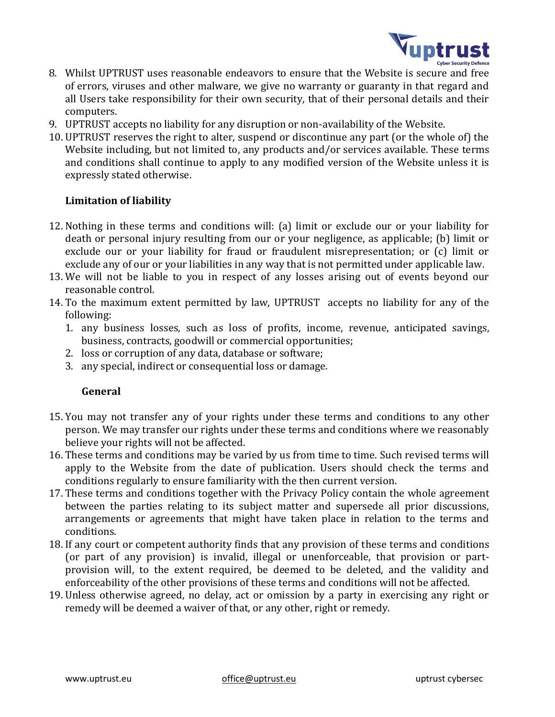

- 8. Whilst UPTRUST uses reasonable endeavors to ensure that the Website is secure and free of errors, viruses and other malware, we give no warranty or guaranty in that regard and all Users take responsibility for their own security, that of their personal details and their computers.
- 9. UPTRUST accepts no liability for any disruption or non-availability of the Website.
- 10. UPTRUST reserves the right to alter, suspend or discontinue any part (or the whole of) the Website including, but not limited to, any products and/or services available. These terms and conditions shall continue to apply to any modified version of the Website unless it is expressly stated otherwise.

## **Limitation of liability**

- 12. Nothing in these terms and conditions will: (a) limit or exclude our or your liability for death or personal injury resulting from our or your negligence, as applicable; (b) limit or exclude our or your liability for fraud or fraudulent misrepresentation; or (c) limit or exclude any of our or your liabilities in any way that is not permitted under applicable law.
- 13. We will not be liable to you in respect of any losses arising out of events beyond our reasonable control.
- 14. To the maximum extent permitted by law, UPTRUST accepts no liability for any of the following:
	- 1. any business losses, such as loss of profits, income, revenue, anticipated savings, business, contracts, goodwill or commercial opportunities;
	- 2. loss or corruption of any data, database or software;
	- 3. any special, indirect or consequential loss or damage.

## **General**

- 15. You may not transfer any of your rights under these terms and conditions to any other person. We may transfer our rights under these terms and conditions where we reasonably believe your rights will not be affected.
- 16. These terms and conditions may be varied by us from time to time. Such revised terms will apply to the Website from the date of publication. Users should check the terms and conditions regularly to ensure familiarity with the then current version.
- 17. These terms and conditions together with the Privacy Policy contain the whole agreement between the parties relating to its subject matter and supersede all prior discussions, arrangements or agreements that might have taken place in relation to the terms and conditions.
- 18. If any court or competent authority finds that any provision of these terms and conditions (or part of any provision) is invalid, illegal or unenforceable, that provision or partprovision will, to the extent required, be deemed to be deleted, and the validity and enforceability of the other provisions of these terms and conditions will not be affected.
- 19. Unless otherwise agreed, no delay, act or omission by a party in exercising any right or remedy will be deemed a waiver of that, or any other, right or remedy.